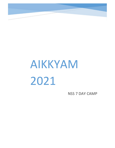

## AIKKYAM 2021

**NSS 7 DAY CAMP**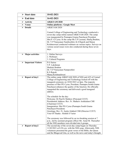| $\triangleright$ Start date     | $10-02-2021$                                                                                                         |                                                                                                                                                                                                                                                                                                                                                                                                                                |  |  |  |  |  |
|---------------------------------|----------------------------------------------------------------------------------------------------------------------|--------------------------------------------------------------------------------------------------------------------------------------------------------------------------------------------------------------------------------------------------------------------------------------------------------------------------------------------------------------------------------------------------------------------------------|--|--|--|--|--|
| $\triangleright$ End date       | 16-02-2021                                                                                                           |                                                                                                                                                                                                                                                                                                                                                                                                                                |  |  |  |  |  |
| $\triangleright$ Activity       | <b>AIKKYAM 2020</b>                                                                                                  |                                                                                                                                                                                                                                                                                                                                                                                                                                |  |  |  |  |  |
| $\triangleright$ Venue          |                                                                                                                      | <b>Online platform : Google Meet</b>                                                                                                                                                                                                                                                                                                                                                                                           |  |  |  |  |  |
| $\triangleright$ Details        | AIKKYAM 2020<br>days.                                                                                                | Carmel College of Engineering and Technology conducted a<br>seven-day camp online named AIKKYAM 2020. The camp<br>was inaugurated by Punnapra Grama Panchayat President<br>Shri.P. G Cyrus. In the camp Mr.T.P Laxman, Shafiq Ibrahim,<br>Dr. V P Narayanan Namboothiri, K.S Rajesh and Manoj<br>Krishneswari conducted webinars on various topics. Surveys on<br>various social issues were also conducted during these seven |  |  |  |  |  |
| <b>Major activities</b><br>≻    | 1. Online Surveys<br>2. Webinars<br>3. Cultural Programs                                                             |                                                                                                                                                                                                                                                                                                                                                                                                                                |  |  |  |  |  |
| <b>Important Visitors</b><br>➤  | P.G Sairus<br>T.P. Lakshman<br>Shafeek Ibrahim<br>Dr. V.P Narayanan Nampoothiri<br>K.S Rajesh<br>Manoj Krishnashwari |                                                                                                                                                                                                                                                                                                                                                                                                                                |  |  |  |  |  |
| <b>Report of day1</b><br>≻      | address.<br>The schedule for the day:                                                                                | The online camp AIKKYAM 2020 of NSS unit 625 of Carmel<br>College of Engineering and Technology kicked off with the<br>inaugural ceremony on 10/02/2021 at 4pm. The majestic<br>presence of Shri PG Cyrus, President, Punnapra South Grama<br>Panchayat enhances the quality of the function. He officially<br>inaugrated the ceremony and delivered a good inaugural<br>Welcome: Dr Paul K Mathew (Principal CCET)            |  |  |  |  |  |
|                                 | (Chairman CCET)<br>Panchayat President)<br>Vote Of Thanks: Rohith S Varier                                           | Presidential Address: Rev. Fr. Mathew Arekkalam CMI<br>Inauguration: Shri PG Cyrus (Punnapra South Grama<br>Greetings: Rev. Fr. Justin Alukkal CMI (Director CCET)                                                                                                                                                                                                                                                             |  |  |  |  |  |
|                                 |                                                                                                                      | The ceremony was followed by an ice-breaking session at 7<br>p.m., led by assistant program officer Mr. Amal M. Thereafter<br>all the NSS members were divided into 6 groups.                                                                                                                                                                                                                                                  |  |  |  |  |  |
| $\triangleright$ Report of day2 |                                                                                                                      | The second day of the seven-day camp began on Thursday<br>11/02/2021 at 8:30 a.m. with the NSS song. Afterwards, NSS<br>volunteers presented the great verses of the Bible, the Quran<br>and the Bhagavad Gita, as well as the news and today's thought.                                                                                                                                                                       |  |  |  |  |  |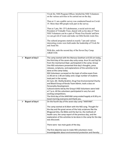|                                 | Vivek Sir, NSS Program Officer, briefed the NSS Volunteers       |
|---------------------------------|------------------------------------------------------------------|
|                                 | on the various activities to be carried out on the day.          |
|                                 |                                                                  |
|                                 | Then at 11 am a public survey was conducted based on Covid-      |
|                                 | 19. More than 400 people took part in the survey.                |
|                                 |                                                                  |
|                                 | Then at 3 pm, Mr. CP Lakshmanan, a social activist and           |
|                                 | President of Vishudhi Trust, shared with us his idea of ??how    |
|                                 | NSS Volunteers can be a part of 'Waste Free Kerala' and how      |
|                                 | we can get rid of waste and make our little Kerala waste free.   |
|                                 |                                                                  |
|                                 | The cultural programs started at exactly 7 pm and various        |
|                                 | interesting events were held under the leadership of Vivek Sir   |
|                                 | and Amal Sir.                                                    |
|                                 |                                                                  |
|                                 | With this, ends the second day of the Seven Day Camp             |
|                                 | AIKKYAM.                                                         |
|                                 |                                                                  |
| $\triangleright$ Report of day3 | The camp started with the Manava Geetham at 8:30 am today,       |
|                                 | the third day of the seven-day unity camp. Arun Sir and Saji Sir |
|                                 |                                                                  |
|                                 | from the mechanical Dept. participated in the camp. Group        |
|                                 | One NSS volunteers presented that day's thoughts, press          |
|                                 | releases, scriptures, and explanations of the activities to be   |
|                                 | done at the camp today.                                          |
|                                 | NSS Volunteers surveyed on the topic of online exam from         |
|                                 | 11:40 am to 1:40 am today and a large number of students         |
|                                 | took part in the survey.                                         |
|                                 | At 3 pm, Mr. Shefiq Ibrahim, Drug Free Environmental Charity     |
|                                 | and Blood Group of Kerala Team Admin, took a class on            |
|                                 | Personality Development.                                         |
|                                 | Cultural events led by the Group 4 NSS Volunteers were held      |
|                                 |                                                                  |
|                                 | at 7 p.m. All the volunteers participated in very fun and        |
|                                 | exciting competitions.                                           |
|                                 | The third day of the AIKKYAM camp ended happily at 8:30 p.m.     |
|                                 | Good morning everyone and thank you.                             |
| <b>Report of day4</b><br>≻      | On the fourth day of the seven-day camp "AIKKYAM".               |
|                                 |                                                                  |
|                                 | The camp started at 8:30am with the NSS song. Thought for        |
|                                 | the day and the great verses of the holy scriptures like the     |
|                                 | Bhagavad Gita, the Bible and the Qur'an, the methods of          |
|                                 | health care, the camp report of the previous day, and the        |
|                                 | explanation of the activities to be done in the camp for the day |
|                                 | was discussed.                                                   |
|                                 |                                                                  |
|                                 | There were two main goals of the day.                            |
|                                 |                                                                  |
|                                 | The first objective was to make NSS volunteers more              |
|                                 |                                                                  |
|                                 | knowledgeable about environmental protection and thereby         |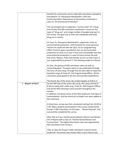|                     | benefit the community and to make NSS volunteers exemplary<br>everywhere. Dr. Narayanan Namboothiri, HoD and                                                                                                                                                                                                                                                                                                                                                                                                             |
|---------------------|--------------------------------------------------------------------------------------------------------------------------------------------------------------------------------------------------------------------------------------------------------------------------------------------------------------------------------------------------------------------------------------------------------------------------------------------------------------------------------------------------------------------------|
|                     | Environmentalist, Department of Humanities conducted a<br>class on "Environmental Protection".                                                                                                                                                                                                                                                                                                                                                                                                                           |
|                     | The second goal was to organize a "survey camp" for a drug-<br>free society. The NSS volunteers conducted a survey on the<br>topic of "drug use" and a large number of people took part in<br>the survey. Our goal was to limit and completely eliminate<br>drug use in society.                                                                                                                                                                                                                                         |
|                     | At 3 pm, Dr. Narayanan Namboothiri, organized a class on<br>environmental protection. Unfortunately for some personal<br>reasons he could not take the class. So our programming<br>officer Vivek Sir gave a wonderful class on environmental<br>protection. Sir took us to class in the most remarkable way that<br>environmental protection is a part of every human life and<br>that trees, flowers, fruits and animals are our co-lives and it is<br>our responsibility to protect it. The meeting ended at 4.30 pm. |
|                     | At 7pm, the groups of NSS volunteers came up with an<br>interesting game. The game went on very pleasantly through<br>the lyrics of each song. Through this we were able to enjoy the<br>beautiful songs of Vivek Sir, the Programming Officer. All the<br>volunteers participated in the fun and exciting competitions.                                                                                                                                                                                                 |
|                     | The fourth day of the seven day ended happily at 8:30 p.m.                                                                                                                                                                                                                                                                                                                                                                                                                                                               |
| Report of day5<br>➤ | On the fifth day of the seven-day camp, the camp started at<br>8.30 am today with a NSS song. Vivek Sir, NSS Program Officer<br>and all the NSS Volunteers were present throughout the<br>session.<br>In addition, the great verses of the Holy Scriptures, the topic of<br>contemplation, and the shortcuts to health care were added to<br>the ceremony.                                                                                                                                                               |
|                     | A three-hour survey was then conducted, lasting from 10:40 to<br>1:40. Many students participated in the survey conducted by<br>Group? 2 NSS Volunteers on the topic - "Waste Disposal" and<br>successfully completed the survey.                                                                                                                                                                                                                                                                                        |
|                     | After that at 3 pm, Haritha Kerala Mission District Coordinator<br>Shri K Rajesh took a class on "Haritha Kerala Mission and<br>Environment". The highly informative class was organised by<br>NSS volunteers from Group 1.                                                                                                                                                                                                                                                                                              |
|                     | Then at 7pm the Group? 6 NSS Volunteers Cultural Events<br>kicked off. The winner was chosen after a very intense and                                                                                                                                                                                                                                                                                                                                                                                                    |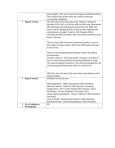|                                 | exciting fight. Then at 9 o'clock the program ended beautifully. |
|---------------------------------|------------------------------------------------------------------|
|                                 | Thus another day of the seven day camp of unity was              |
|                                 | successfully completed.                                          |
| $\triangleright$ Report of day6 | The sixth day of the seven day camp "Aikyam" started on          |
|                                 |                                                                  |
|                                 | Monday 15-02-2021 at 8.30 am with the NSS song. Afterwards,      |
|                                 | NSS volunteers presented great verses from the Bible, the        |
|                                 | Quran and the Bhagavad Gita, as well as press releases and       |
|                                 | contemporary thought. Vivek Sir, NSS Program Officer             |
|                                 | informed the NSS Volunteers about the various activities to be   |
|                                 | done in the day.                                                 |
|                                 |                                                                  |
|                                 | Then at 11am, NSS volunteers conducted a public survey on        |
|                                 | the subject of online exams. More than 400 people took part      |
|                                 | in the survey.                                                   |
|                                 |                                                                  |
|                                 | Then at 3 pm Vimukthi Mission Master Trainer Shri. Manoj         |
|                                 | Krishneshwari                                                    |
|                                 | He took a class on "Anti-drug youth" and gave us an idea of      |
|                                 | how to move forward without becoming addicted to drugs.          |
|                                 |                                                                  |
|                                 | The cultural program started at 7 pm and was followed by a lot   |
|                                 | of interesting activities led by Vivek Sir and Amal Sir.         |
|                                 |                                                                  |
|                                 |                                                                  |
|                                 | With this, the sixth day of the seven-day camp Aikyam ended      |
|                                 | exactly 8.30pm                                                   |
| Report of day7<br>≻             | Schedule for the day was                                         |
|                                 |                                                                  |
|                                 | Manavageetham: Sajith Saraswathan (NSS volunteer)                |
|                                 | Welcome speech : Pallavi R ( NSS Volunteer Secretary)            |
|                                 | Inauguration : Rev Fr Justin Alukkal CMI (Director, CCET)        |
|                                 | Felicitation : Dr Paul K Mathew ( Principal, CCET)               |
|                                 | Camp report presentation : Joshua P Johnson (NSS Volunteer       |
|                                 | Secretary)                                                       |
|                                 | Vote of thanks: Muhammed Yaseen A (NSS Volunteer)                |
|                                 | National Anthem: Sandra Omanakuttan (NSS Volunteer)              |
| No of volunteers<br>⋗           | 90                                                               |
| Participated<br>➤               |                                                                  |
|                                 |                                                                  |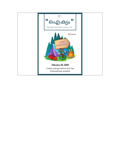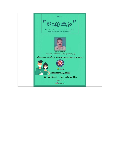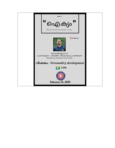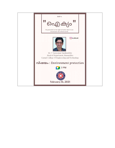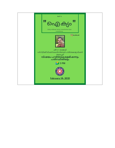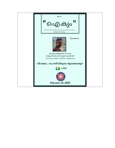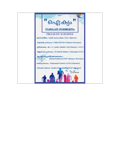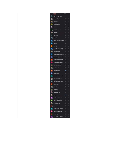|                | People               | into      |     |  |
|----------------|----------------------|-----------|-----|--|
| $N_{\bullet}$  | NSS UNIT 625 (You)   |           |     |  |
| ¢.             | Adithys Suresh       | x.        | Ŧ   |  |
| R              | Adithyan C S         | N,        | ÷.  |  |
| 2              | Anila p Rajeev       | 掲         | ÷   |  |
| Э,             | anjat j              | 闻         | Ŧ   |  |
| ۰              | Anjaly Sadasiyan     | 盜         | Ŧ.  |  |
| U.             | <b>ARJUN'B</b>       | W,        | Ŧ   |  |
| a,             | Aswin SK             | Y,        | ž.  |  |
| $\bullet$      | Athul Raj            | ş,        | ÷   |  |
| $\mathbf{A}_i$ | ATHULMT CMATREEO10   | <b>Ay</b> | ÷   |  |
| æ              | Bibin 5              | 직         | ÷   |  |
| <u>پ</u>       | diya saji            | 浜         | Ŧ   |  |
| 9,             | GANESH R CMA18ME     | N,        | ÷   |  |
| e,             | Gokul Krishnan       | 览         | Ŧ   |  |
| 黒              | HaripriyaR LCMA18CE. | R         | ÷   |  |
| P              | JEFFIN CHACKO CM     | 裝         | ı   |  |
| J.             | JITHINS CMA18EE017   | N)        | ÷   |  |
| J,             | Jose Thomas CMA18    | 裝         | ÷   |  |
| Ø              | Joshua p Johnson     | ν,        | з   |  |
| e              | karthik unni         | 19,       | ŝ.  |  |
|                | Lakshmanan Tp        | œ         | ı   |  |
| M              | HIGU MEBIN           | W         | ÷   |  |
| M              | MELWYN RAJU CMA1     | 킻         | т   |  |
| â,             | Muhammed Yassen      | 胤         | в   |  |
| v.             | NAJUMAA CMAI8CS      | 笺         | ×   |  |
| $\mathsf{N}$   | Neyif Nasar          | ٧,        | Ŧ   |  |
| ۳.             | Nikhii Sunsh         | 10,       | Ŧ.  |  |
| 啵              | Priyanka R           | 琵         | т   |  |
| 磐              | Remyssme KR          | W.        | 4   |  |
| d-p            | Rohith 5 Varier      | $***$     | - 1 |  |
| 5.             | Sandra Omanakuttan   | V),       | 凄   |  |
| B,             | SHALET SHAJI ALEX    | 琪         | з   |  |
| P.             | Sree Lakshmi5        | 观         | э   |  |
|                | sreelekshmij         | V)        | Ŧ   |  |
| Œ.             | THOMASPRAJAN CM      | 琵         | Ŧ   |  |
| V.             | vandana jayakumar    | W         | ą.  |  |
|                | <b>VIVEK vvg</b>     | 况         | Ŧ   |  |
| ٧.             | VrindaKKumar CCET1   | γ,        | в   |  |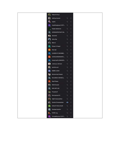|                         | Pallavi R (You)                   |                 |    |  |
|-------------------------|-----------------------------------|-----------------|----|--|
|                         |                                   |                 |    |  |
|                         | Adithya Suresh                    | 笺               | G. |  |
| $\mathbf{z}$            | anjalij                           | 蛩               | ÷  |  |
| Α,                      | AnjaliVarghese CCET1              | $\mathcal{Q}_i$ | H. |  |
| ٠                       | Anjaly Sadasivan                  | 裝               | a. |  |
| $\mathbb A$             | APARNAPRATHAP CM                  | 复               | ÷  |  |
| <b>SP</b>               | ARJUN B                           | 复               | ÷  |  |
|                         | Athul Raj                         | 饕               | ŧ  |  |
|                         | Bibin S                           | 复               | ÷  |  |
| $\mathbf{D}_\parallel$  | Dhyan G Gopal                     | 馍               | ÷  |  |
| d.                      | diya saji                         | 笺               | ÷  |  |
| G.                      | GANESH R CMA18ME                  | 实               | đ. |  |
| $\mathbf{G}$            | GOKULKRISHNANTG                   | 显               | H. |  |
| $\mathbf{H}$            | HaripriyaR LCMA18CE               | 奖               | ÷  |  |
| Q                       | Joshua p Johnson                  | 霞               | ã. |  |
| 垂                       | karthik unni                      | 复               | ŧ  |  |
| M                       | MEBIN JOSHI                       | 堤               | ÷  |  |
| ₩                       | Muhammed Yaseen                   | 笺               | ŧ  |  |
| $\,$ M $_{\circ}$       | NAJUMAA CMA18CS                   | 堠               | ÷. |  |
| $\mathbf{N}_\mathrm{s}$ | Nayif Nasar                       | 侬               | ß. |  |
| 赋                       | Nikhil Suresh                     | 裝               | ŧ  |  |
| $\mathbf N$             | NSS UNIT 625                      | $\mathcal{Q}_i$ | ÷  |  |
| 냨.                      | Priyanka R                        | 蛩               | ÷  |  |
|                         | $\frac{1}{\sqrt{2}}$ Remyasree KR | $\mathcal{R}$   | ă  |  |
|                         | Sajith Saraswathan                | 紧               | š  |  |
|                         | Sandra Omanakuttan                | ÷               | t  |  |
| S,                      | SHALET SHAJI ALEX                 | ¥,              | ă. |  |
| $\mathbf{s}$            | Shefeek Ibrahim                   | 堠               | ÷  |  |
|                         | VIVEK vvg                         | 复               | ÷  |  |
| V.                      | VrindaKKumar CCET1                | 设               | ŧ  |  |